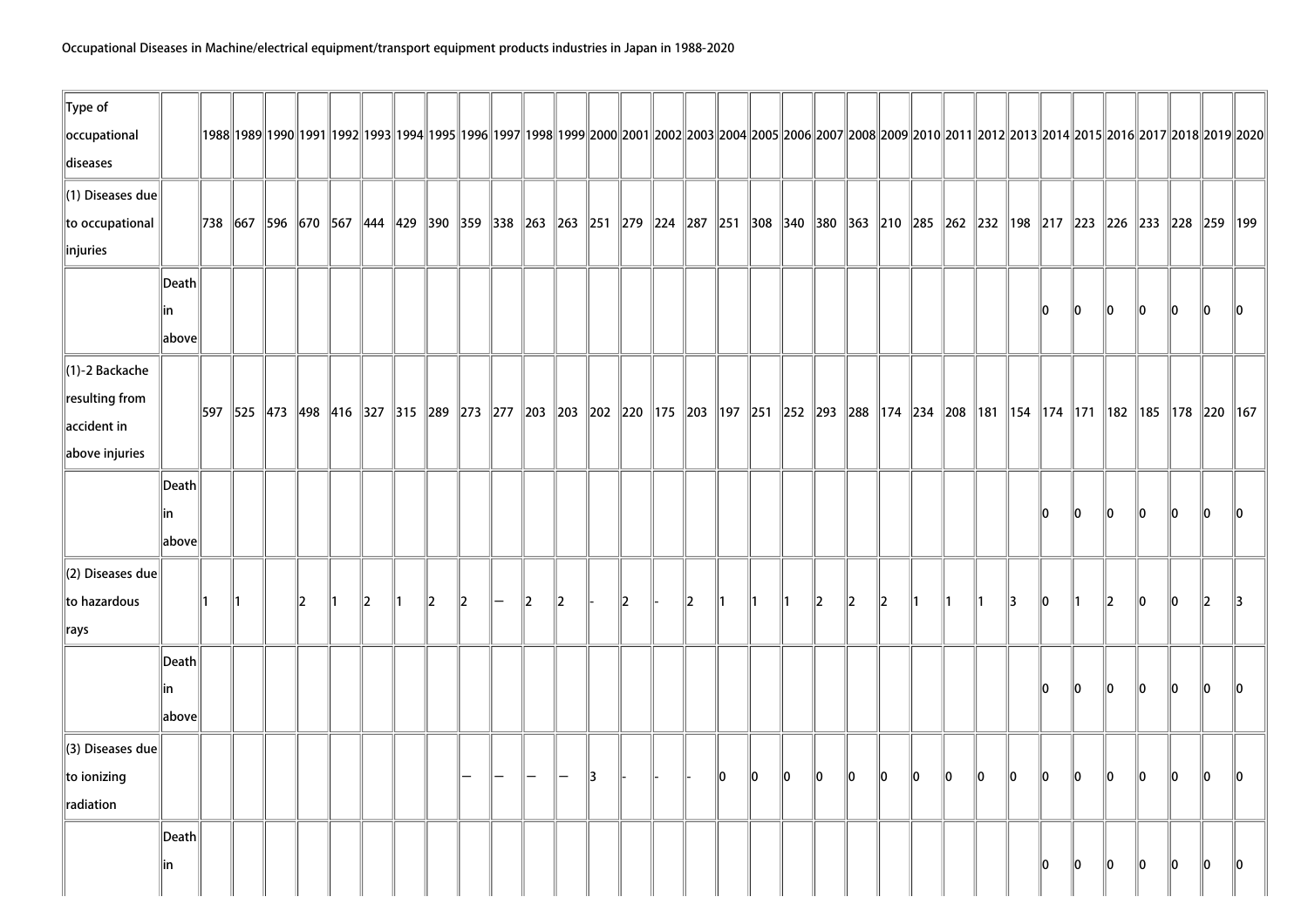| $\ $ Type of            |                 |    |  |   |              |              |               |   |         |    |    |    |    |    |         |               |         |               |    |    |    |    |      |    |         |      |      |                                                                                                                                                                                                           |      |
|-------------------------|-----------------|----|--|---|--------------|--------------|---------------|---|---------|----|----|----|----|----|---------|---------------|---------|---------------|----|----|----|----|------|----|---------|------|------|-----------------------------------------------------------------------------------------------------------------------------------------------------------------------------------------------------------|------|
| occupational            |                 |    |  |   |              |              |               |   |         |    |    |    |    |    |         |               |         |               |    |    |    |    |      |    |         |      |      | 1992  1992  1992  1993  1993  1994  1995  1996  1997  1998  1999  2000  2001  2002  2003  2004  2005  2006  2007  2008  2009  2010  2011  2012  2013  2014  2015  2016  2017  2018  2019                  |      |
| diseases                |                 |    |  |   |              |              |               |   |         |    |    |    |    |    |         |               |         |               |    |    |    |    |      |    |         |      |      |                                                                                                                                                                                                           |      |
| $\ $ (1) Diseases due   |                 |    |  |   |              |              |               |   |         |    |    |    |    |    |         |               |         |               |    |    |    |    |      |    |         |      |      |                                                                                                                                                                                                           |      |
| to occupational         |                 |    |  |   |              |              |               |   |         |    |    |    |    |    |         |               |         |               |    |    |    |    |      |    |         |      |      | 738  667  596  670  567  444  429  390  359  338  263  263  251  279  224  287  251  308  340  380  363  210  285  262  232  293  293  217  223  226  233  228  259  199                                  |      |
| linjuries               |                 |    |  |   |              |              |               |   |         |    |    |    |    |    |         |               |         |               |    |    |    |    |      |    |         |      |      |                                                                                                                                                                                                           |      |
|                         | $\ $ Death $\ $ |    |  |   |              |              |               |   |         |    |    |    |    |    |         |               |         |               |    |    |    |    |      |    |         |      |      |                                                                                                                                                                                                           |      |
|                         | lin             |    |  |   |              |              |               |   |         |    |    |    |    |    |         |               |         |               |    |    |    |    | llo. | 10 | llo.    | 10   | llo. | 10                                                                                                                                                                                                        | ll0  |
|                         | $\ $ above $\ $ |    |  |   |              |              |               |   |         |    |    |    |    |    |         |               |         |               |    |    |    |    |      |    |         |      |      |                                                                                                                                                                                                           |      |
| $\ $ (1)-2 Backache     |                 |    |  |   |              |              |               |   |         |    |    |    |    |    |         |               |         |               |    |    |    |    |      |    |         |      |      |                                                                                                                                                                                                           |      |
| resulting from          |                 |    |  |   |              |              |               |   |         |    |    |    |    |    |         |               |         |               |    |    |    |    |      |    |         |      |      |                                                                                                                                                                                                           |      |
| $\parallel$ accident in |                 |    |  |   |              |              |               |   |         |    |    |    |    |    |         |               |         |               |    |    |    |    |      |    |         |      |      | 597   525   473   498   416   327   315   289   273   277   203   203   202   220   175   203   197   251   252   293   288   174   234   208   181   154   174   174   171   182   185   178   220   167 |      |
| above injuries          |                 |    |  |   |              |              |               |   |         |    |    |    |    |    |         |               |         |               |    |    |    |    |      |    |         |      |      |                                                                                                                                                                                                           |      |
|                         | Death           |    |  |   |              |              |               |   |         |    |    |    |    |    |         |               |         |               |    |    |    |    |      |    |         |      |      |                                                                                                                                                                                                           |      |
|                         | lin             |    |  |   |              |              |               |   |         |    |    |    |    |    |         |               |         |               |    |    |    |    | llo. | 10 | llo.    | llo. | llo. | n                                                                                                                                                                                                         |      |
|                         | above           |    |  |   |              |              |               |   |         |    |    |    |    |    |         |               |         |               |    |    |    |    |      |    |         |      |      |                                                                                                                                                                                                           |      |
| (2) Diseases due        |                 |    |  |   |              |              |               |   |         |    |    |    |    |    |         |               |         |               |    |    |    |    |      |    |         |      |      |                                                                                                                                                                                                           |      |
| to hazardous            |                 | ∥1 |  | 2 | $\mathbb{Z}$ | $\mathbf{2}$ | $\parallel$ 2 | 2 | $\ 2\ $ |    | 12 | 12 |    |    |         | 12            | 2       | 12            |    |    |    | 13 | llo. |    | 2       | 10   | 10   | 12                                                                                                                                                                                                        |      |
| $\ $ rays               |                 |    |  |   |              |              |               |   |         |    |    |    |    |    |         |               |         |               |    |    |    |    |      |    |         |      |      |                                                                                                                                                                                                           |      |
|                         | Death           |    |  |   |              |              |               |   |         |    |    |    |    |    |         |               |         |               |    |    |    |    |      |    |         |      |      |                                                                                                                                                                                                           |      |
|                         | lin             |    |  |   |              |              |               |   |         |    |    |    |    |    |         |               |         |               |    |    |    |    | 10   | 10 | 10      | 10   | 10   | llo.                                                                                                                                                                                                      | llO. |
|                         | above           |    |  |   |              |              |               |   |         |    |    |    |    |    |         |               |         |               |    |    |    |    |      |    |         |      |      |                                                                                                                                                                                                           |      |
| (3) Diseases due        |                 |    |  |   |              |              |               |   |         |    |    |    |    |    |         |               |         |               |    |    |    |    |      |    |         |      |      |                                                                                                                                                                                                           |      |
| to ionizing             |                 |    |  |   |              |              |               |   |         | 13 |    |    | 10 | 10 | $\ 0\ $ | $\parallel$ 0 | $\ 0\ $ | $\parallel$ 0 | 10 | 10 | 10 | 10 | 10   | 10 | 10      | 10   | 10   | llo.                                                                                                                                                                                                      | llo. |
| radiation               |                 |    |  |   |              |              |               |   |         |    |    |    |    |    |         |               |         |               |    |    |    |    |      |    |         |      |      |                                                                                                                                                                                                           |      |
|                         | Death           |    |  |   |              |              |               |   |         |    |    |    |    |    |         |               |         |               |    |    |    |    |      |    |         |      |      |                                                                                                                                                                                                           |      |
|                         | in              |    |  |   |              |              |               |   |         |    |    |    |    |    |         |               |         |               |    |    |    |    | llo. | 0  | $\ 0\ $ | llo. | llo. | lo.                                                                                                                                                                                                       | llo. |
|                         |                 |    |  |   |              |              |               |   |         |    |    |    |    |    |         |               |         |               |    |    |    |    |      |    |         |      |      |                                                                                                                                                                                                           |      |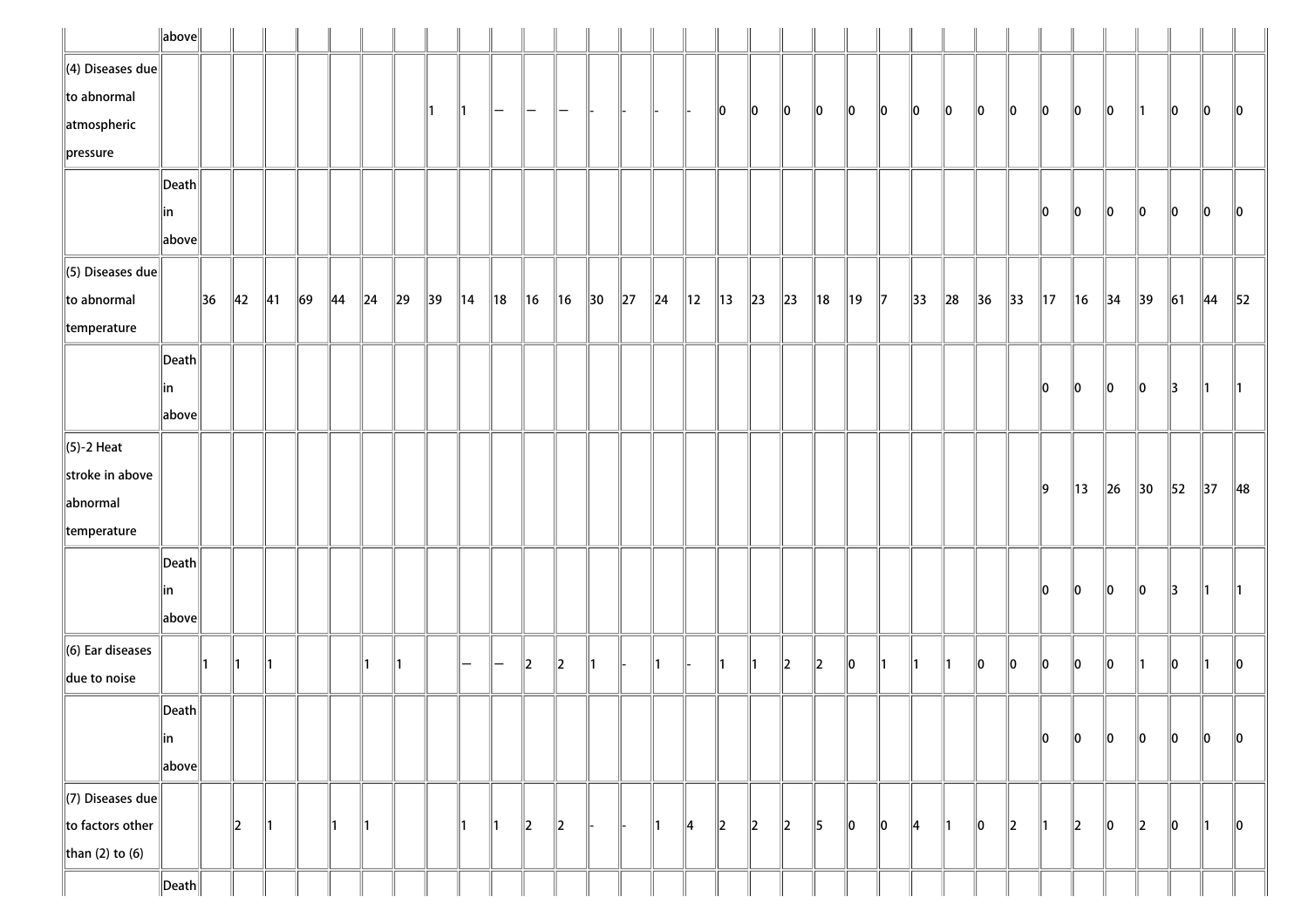|                              | $\ $ above $\ $       |    |                |                |        |                |                |                |    |                |                |                |                |                 |          |               |               |                |               |           |                |                |               |            |          |                |                |                |                |                |                |        |                |                |
|------------------------------|-----------------------|----|----------------|----------------|--------|----------------|----------------|----------------|----|----------------|----------------|----------------|----------------|-----------------|----------|---------------|---------------|----------------|---------------|-----------|----------------|----------------|---------------|------------|----------|----------------|----------------|----------------|----------------|----------------|----------------|--------|----------------|----------------|
| $\ $ (4) Diseases due        |                       |    |                |                |        |                |                |                |    |                |                |                |                |                 |          |               |               |                |               |           |                |                |               |            |          |                |                |                |                |                |                |        |                |                |
| $\ $ to abnormal             |                       |    |                |                |        |                |                |                |    |                | —              |                |                |                 |          |               |               | $\parallel$ 0  | 10            | $\ 0\ $   | 10             | 10             | 10            | 10         | 10       | 10             | 10             | 10             | 10             | 10             | 11             | 10     | 10             | $\ 0\ $        |
| atmospheric                  |                       |    |                |                |        |                |                |                |    |                |                |                |                |                 |          |               |               |                |               |           |                |                |               |            |          |                |                |                |                |                |                |        |                |                |
| $\ $ pressure                |                       |    |                |                |        |                |                |                |    |                |                |                |                |                 |          |               |               |                |               |           |                |                |               |            |          |                |                |                |                |                |                |        |                |                |
|                              | $\vert$ Death $\vert$ |    |                |                |        |                |                |                |    |                |                |                |                |                 |          |               |               |                |               |           |                |                |               |            |          |                |                |                |                |                |                |        |                |                |
|                              | in                    |    |                |                |        |                |                |                |    |                |                |                |                |                 |          |               |               |                |               |           |                |                |               |            |          |                |                | 10             | 10             | 10             | 10             | 10     | 10             | 10             |
|                              | above                 |    |                |                |        |                |                |                |    |                |                |                |                |                 |          |               |               |                |               |           |                |                |               |            |          |                |                |                |                |                |                |        |                |                |
| $\ $ (5) Diseases due        |                       |    |                |                |        |                |                |                |    |                |                |                |                |                 |          |               |               |                |               |           |                |                |               |            |          |                |                |                |                |                |                |        |                |                |
| $\ $ to abnormal             |                       | 36 | $\parallel$ 42 | $\parallel$ 41 | $\ 69$ | $\parallel$ 44 | $\parallel$ 24 | $\parallel$ 29 | 39 | $\parallel$ 14 | $\parallel$ 18 | $\parallel$ 16 | $\parallel$ 16 | $\parallel$ 30  | $\ 27\ $ | $\ 24\ 12$    |               | $\parallel$ 13 | $\ 23\ $      | $\ 23\ $  | $\parallel$ 18 | $\parallel$ 19 | $\parallel$ 7 | $\vert$ 33 | $\ 28\ $ | $\parallel$ 36 | $\parallel$ 33 | $\parallel$ 17 | $\parallel$ 16 | $\parallel$ 34 | $\parallel$ 39 | $\ 61$ | $\parallel$ 44 | $\parallel$ 52 |
| $\parallel$ temperature      |                       |    |                |                |        |                |                |                |    |                |                |                |                |                 |          |               |               |                |               |           |                |                |               |            |          |                |                |                |                |                |                |        |                |                |
|                              | $\vert$ Death $\vert$ |    |                |                |        |                |                |                |    |                |                |                |                |                 |          |               |               |                |               |           |                |                |               |            |          |                |                |                |                |                |                |        |                |                |
|                              | in                    |    |                |                |        |                |                |                |    |                |                |                |                |                 |          |               |               |                |               |           |                |                |               |            |          |                |                | 10             | 10             | 10             | 10             | 13     | 11.            | $\parallel$ 1  |
|                              | above                 |    |                |                |        |                |                |                |    |                |                |                |                |                 |          |               |               |                |               |           |                |                |               |            |          |                |                |                |                |                |                |        |                |                |
| $\ $ (5)-2 Heat              |                       |    |                |                |        |                |                |                |    |                |                |                |                |                 |          |               |               |                |               |           |                |                |               |            |          |                |                |                |                |                |                |        |                |                |
| stroke in above              |                       |    |                |                |        |                |                |                |    |                |                |                |                |                 |          |               |               |                |               |           |                |                |               |            |          |                |                |                |                |                |                |        |                |                |
| abnormal                     |                       |    |                |                |        |                |                |                |    |                |                |                |                |                 |          |               |               |                |               |           |                |                |               |            |          |                |                | $\parallel$ 9  | $\parallel$ 13 | $\ $ 26        | 30             | 52     | 37             | $\parallel$ 48 |
| temperature                  |                       |    |                |                |        |                |                |                |    |                |                |                |                |                 |          |               |               |                |               |           |                |                |               |            |          |                |                |                |                |                |                |        |                |                |
|                              | $\vert$ Death $\vert$ |    |                |                |        |                |                |                |    |                |                |                |                |                 |          |               |               |                |               |           |                |                |               |            |          |                |                |                |                |                |                |        |                |                |
|                              | in                    |    |                |                |        |                |                |                |    |                |                |                |                |                 |          |               |               |                |               |           |                |                |               |            |          |                |                | 10             | 10             | $\ 0\ $        | 10             | 13     | 11.            | $\parallel$ 1  |
|                              | $\ $ above $\ $       |    |                |                |        |                |                |                |    |                |                |                |                |                 |          |               |               |                |               |           |                |                |               |            |          |                |                |                |                |                |                |        |                |                |
| $\parallel$ (6) Ear diseases |                       |    |                |                |        |                |                |                |    |                |                |                |                |                 |          |               |               |                |               |           |                |                |               |            |          |                |                |                |                |                |                |        |                |                |
| due to noise                 |                       |    |                |                |        |                |                |                |    |                |                | $\ 2\ $        | $\ 2\ $        | $\vert 1 \vert$ |          | $\parallel$ 1 |               | ∥1             | 11            | $\vert$ 2 | $\ 2\ $        | 10             | ∥1            | ∥1         |          | 10             | llo            | llo            | ∥o             | $\ 0\ $        |                | 10     | 11.            | $\ 0\ $        |
|                              | $\ $ Death $\ $       |    |                |                |        |                |                |                |    |                |                |                |                |                 |          |               |               |                |               |           |                |                |               |            |          |                |                |                |                |                |                |        |                |                |
|                              | ∥in                   |    |                |                |        |                |                |                |    |                |                |                |                |                 |          |               |               |                |               |           |                |                |               |            |          |                |                | 10             | ∥o             | $\ 0\ $        | 10             | 10     | 10             | 10             |
|                              | above                 |    |                |                |        |                |                |                |    |                |                |                |                |                 |          |               |               |                |               |           |                |                |               |            |          |                |                |                |                |                |                |        |                |                |
| $\Vert$ (7) Diseases due     |                       |    |                |                |        |                |                |                |    |                |                |                |                |                 |          |               |               |                |               |           |                |                |               |            |          |                |                |                |                |                |                |        |                |                |
| $\ $ to factors other        |                       |    | $\parallel$ 2  | ∥1             |        | 11.            | $\parallel$ 1  |                |    |                | ∥1             | $\parallel$    | $\parallel$ 2  |                 |          | $\parallel$ 1 | $\parallel$ 4 | $\parallel$ 2  | $\parallel$ 2 | $\ 2\ $   | 5              | 10             | 10            | 4          | ∥1       | 10             | $\parallel$ 2  | ∥1             | $\ 2\ $        | 10             | 2              | 10     | 11.            | $\parallel$ 0  |
| than (2) to (6)              |                       |    |                |                |        |                |                |                |    |                |                |                |                |                 |          |               |               |                |               |           |                |                |               |            |          |                |                |                |                |                |                |        |                |                |
|                              | $\ $ Death $\ $       |    |                |                |        |                |                |                |    |                |                |                |                |                 |          |               |               |                |               |           |                |                |               |            |          |                |                |                |                |                |                |        |                |                |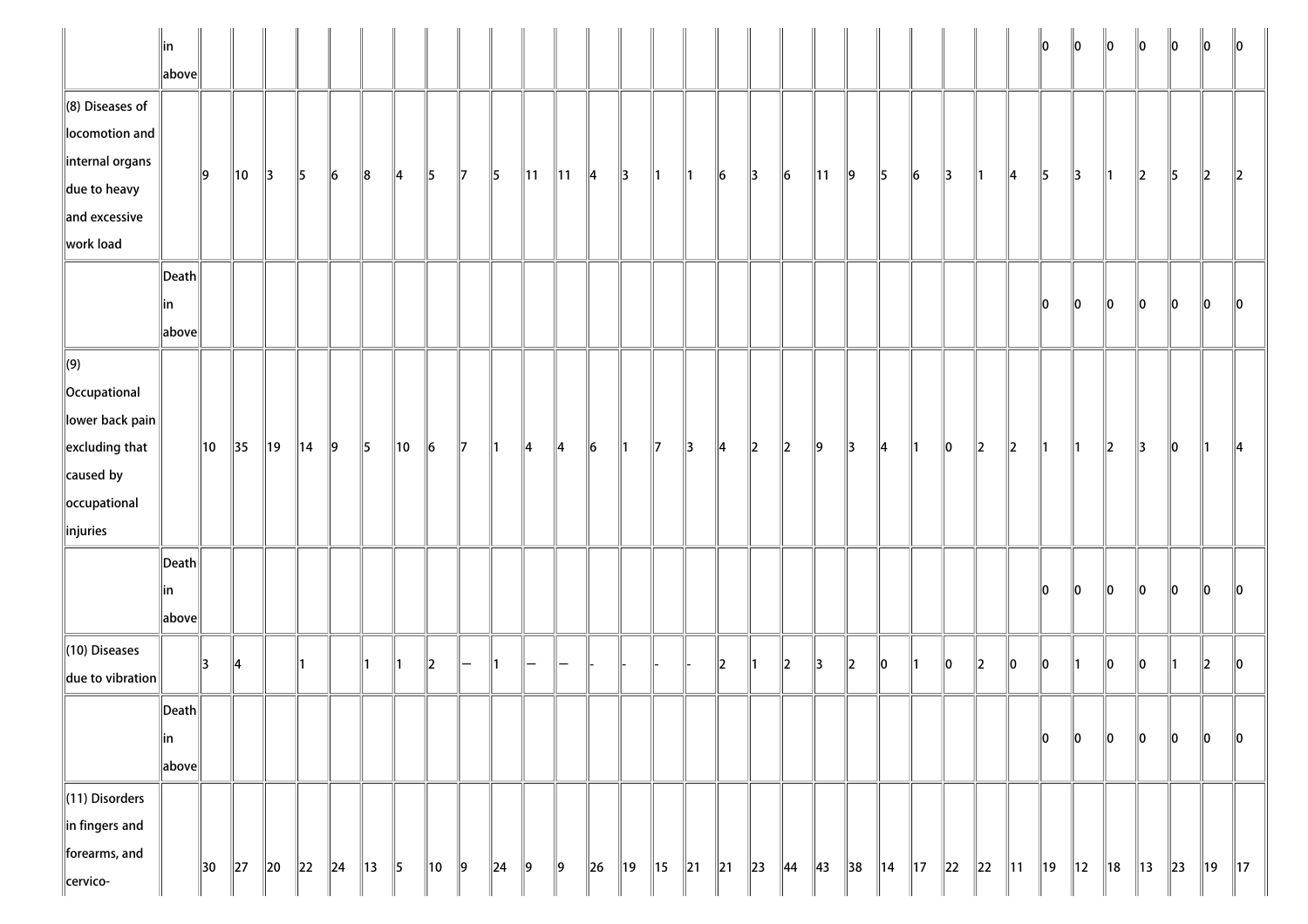|                                                                                                                                          | ∥in<br>$\ $ above $\ $                    |    |                |        |                |           |               |                |           |               |               |                |                |         |     |    |        |           |               |                      |                |                |                |                |          |                          |                | lo.            | $\ 0\ $        | $\ 0\ $        | $\ 0\ $        | $\ 0\ $ | 10           | $\parallel$ 0  |
|------------------------------------------------------------------------------------------------------------------------------------------|-------------------------------------------|----|----------------|--------|----------------|-----------|---------------|----------------|-----------|---------------|---------------|----------------|----------------|---------|-----|----|--------|-----------|---------------|----------------------|----------------|----------------|----------------|----------------|----------|--------------------------|----------------|----------------|----------------|----------------|----------------|---------|--------------|----------------|
| $\left\ $ (8) Diseases of<br>locomotion and<br>internal organs<br>$\parallel$ due to heavy<br>$\parallel$ and excessive<br>work load     |                                           | 19 | 10             | 3      | 5              | $\vert$ 6 | 8             | 14             | 5         | 17            | $\parallel$ 5 | $\parallel$ 11 | $\parallel$ 11 | 14      | 13  | ∥1 | ∥1     | $\ 6$     | $\parallel$ 3 | $\ _6$               | $\parallel$ 11 | 9              | 5              | $\vert$ 6      | 3        | ∥1                       | 14             | 15             | 3              | 11             | $\vert$ 2      | 5       | $\ 2\ $      | $\ 2\ $        |
|                                                                                                                                          | $\ $ Death $\ $<br>∥in<br>$\ $ above $\ $ |    |                |        |                |           |               |                |           |               |               |                |                |         |     |    |        |           |               |                      |                |                |                |                |          |                          |                | $\ 0\ $        | $\ 0\ $        | $\ 0\ $        | $\ 0\ $        | $\ 0\ $ | $\ 0\ $      | 10             |
| $\Vert(9)\Vert$<br>Occupational<br>$\ $ lower back pain $\ $<br>$\parallel$ excluding that<br>caused by<br>occupational<br>$\ $ injuries |                                           | 10 | $\parallel$ 35 | ∥19    | $\parallel$ 14 | 9         | $\parallel$ 5 | $\parallel$ 10 | $\ 6\ $   | $\parallel$ 7 | ∥1            | 14             | ∥4             | $\ 6$   | ∥1  | 17 | 13     | 4         | $\vert$ 2     | $\ 2\ $              | $\ 9\ $        | 3              | $\parallel$ 4  | ∥1             | $\ 0\ $  | $\parallel$ <sub>2</sub> | $\ 2\ $        | ∥1             | 11             | $\parallel$ 2  | 13             | $\ 0\ $ | 11           | 114            |
|                                                                                                                                          | $\ $ Death $\ $<br>∥in<br>$\ $ above $\ $ |    |                |        |                |           |               |                |           |               |               |                |                |         |     |    |        |           |               |                      |                |                |                |                |          |                          |                | 10             | llo.           | lo.            | llo            | llo.    | llo.         | 10             |
| (10) Diseases<br>due to vibration                                                                                                        |                                           | 3  | ∥4             |        |                |           |               | 11             | $\vert$ 2 |               | 11            |                |                |         |     |    |        | $\vert$ 2 | 11            | $\vert$ <sub>2</sub> | 3              | $\ _2$         | 10             | 1              | 0        | $\ _2$                   | 0              | $\ _0$         | 1              | $\ _0$         | 0              | 1       | $\mathbf{z}$ | llo            |
|                                                                                                                                          | $\ $ Death $\ $<br> in<br>$\ $ above $\ $ |    |                |        |                |           |               |                |           |               |               |                |                |         |     |    |        |           |               |                      |                |                |                |                |          |                          |                | $\ 0\ $        | $\ _0$         | $\ _0$         | $\ _0$         | $\ _0$  | $\ _0$       | $\ 0\ $        |
| (11) Disorders<br>$\ $ in fingers and<br>forearms, and<br>cervico-                                                                       |                                           | 30 | $\ 27$         | $\ 20$ | $\ 22\ $       | $\ 24$    | 13            | $\parallel$ 5  | 10        | $\parallel$ 9 | $\ 24$        | 9              | 9              | $\ $ 26 | ∥19 | 15 | $\ 21$ | $\ 21$    | $\ $ 23       | $\parallel$ 44       | $\parallel$ 43 | $\parallel$ 38 | $\parallel$ 14 | $\parallel$ 17 | $\ 22\ $ | $\ 22\ $                 | $\parallel$ 11 | $\parallel$ 19 | $\parallel$ 12 | $\parallel$ 18 | $\parallel$ 13 | $\ $ 23 | 19           | $\parallel$ 17 |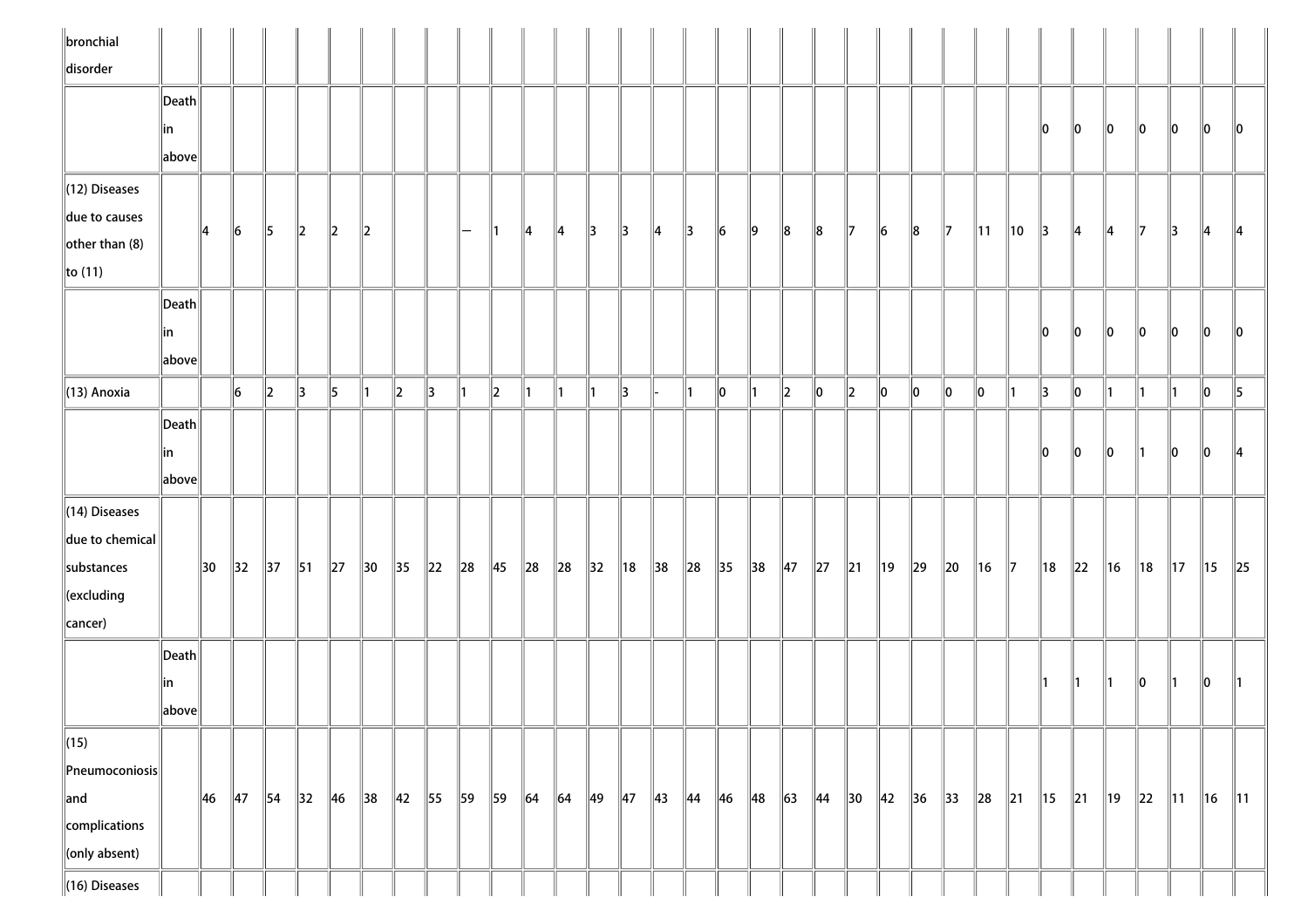| $\ $ bronchial<br>disorder                                                                    |                                                                |    |                |                |                |             |                          |                |                |        |                |            |               |                |                |                |               |                |                |                |          |                |                |             |          |                |        |                |          |                |          |                |         |                            |
|-----------------------------------------------------------------------------------------------|----------------------------------------------------------------|----|----------------|----------------|----------------|-------------|--------------------------|----------------|----------------|--------|----------------|------------|---------------|----------------|----------------|----------------|---------------|----------------|----------------|----------------|----------|----------------|----------------|-------------|----------|----------------|--------|----------------|----------|----------------|----------|----------------|---------|----------------------------|
|                                                                                               | $\ $ Death $\ $<br> in                                         |    |                |                |                |             |                          |                |                |        |                |            |               |                |                |                |               |                |                |                |          |                |                |             |          |                |        | 10             | 10       | 10             | 10       | 10             | 10      | $\mathsf{I}$ 10            |
| $\parallel$ (12) Diseases                                                                     | $\left\vert \text{above}\right\vert$                           |    |                |                |                |             |                          |                |                |        |                |            |               |                |                |                |               |                |                |                |          |                |                |             |          |                |        |                |          |                |          |                |         |                            |
| due to causes<br>other than $(8)$<br>$\ $ to (11)                                             |                                                                | 14 | $\ 6\ $        | 15             | $\parallel$ 2  | $ 2\rangle$ | $\parallel$ <sub>2</sub> |                |                | —      |                | 14         | $\parallel$ 4 | $\parallel$ 3  | $\parallel$ 3  | $\parallel$ 4  | $\parallel$ 3 | $\vert$ 6      | $\vert$ 9      | 8              | $\ 8$    | $\mathbb{I}$   | 16             | 8           | 17       | $\parallel$ 11 | 10     | 3              | 14       | 14             | 17       | 13             | 14      | 14                         |
|                                                                                               | $\ $ Death $\ $<br> in<br>$\left\Vert \text{above}\right\Vert$ |    |                |                |                |             |                          |                |                |        |                |            |               |                |                |                |               |                |                |                |          |                |                |             |          |                |        | 10             | 10       | 10             | 10       | 10             | 10      | 10                         |
| $\parallel$ (13) Anoxia                                                                       |                                                                |    | 6              | $\parallel$ 2  | 3              | 5           | ∥1                       | $\parallel$ 2  | ∥3             | ∥1     | $\ 2\ $        | ∥1         | $\parallel$ 1 | ∥1             | $\parallel$ 3  |                | $\parallel$ 1 | $\ 0\ $        | $\parallel$ 1  | $\ 2\ $        | $\ 0\ $  | $\ 2\ $        | 10             | $\ 0\ $     | $\ 0\ $  | 10             | 11     | $\parallel$ 3  | 10       | 11             | 11       | $\vert$ 1      | $\ 0\ $ | $\parallel$ 5              |
|                                                                                               | Death<br> in<br>above                                          |    |                |                |                |             |                          |                |                |        |                |            |               |                |                |                |               |                |                |                |          |                |                |             |          |                |        | llo.           | 10       | 10             |          | 10             | 10      | 14                         |
| $\parallel$ (14) Diseases<br>$\ $ due to chemical<br>substances<br>$\ $ (excluding<br>cancer) |                                                                | 30 | $\parallel$ 32 | $\parallel$ 37 | $\parallel$ 51 | $\ 27\ $    | $\parallel$ 30           | $\parallel$ 35 | $\parallel$ 22 | $\ 28$ | $\parallel$ 45 | $\ 28$     | $\ 28$        | $\parallel$ 32 | $\parallel$ 18 | $\parallel$ 38 | $\ 28$        | $\parallel$ 35 | $\parallel$ 38 | $\parallel$ 47 | $\ 27\ $ | $\parallel$ 21 | $\parallel$ 19 | $\ 29\ $    | $\ 20\ $ | 16             | 17     | ∥18            | $\ 22\ $ | 16             | ∥18      | $\parallel$ 17 | 15      | $\ 25$                     |
|                                                                                               | $\ $ Death $\ $<br> in<br>  above                              |    |                |                |                |             |                          |                |                |        |                |            |               |                |                |                |               |                |                |                |          |                |                |             |          |                |        |                | 11       |                | 10       |                | llo     |                            |
| $\sqrt{(15)}$<br>Pneumoconiosis<br>$\parallel$ and<br>complications                           |                                                                | 46 | $\parallel$ 47 | $\parallel$ 54 | $\parallel$ 32 | $\ $ 46     | $\parallel$ 38           | $\parallel$ 42 | 55             | 59     | 59             | $\vert$ 64 | $\vert$ 64    | 49             | $\parallel$ 47 | 43 44 46 48    |               |                |                | $\ 63\ $       |          | 44  30         | $\parallel$ 42 | $\ 36\ $ 33 |          | $\ 28$         | $\ 21$ | $\parallel$ 15 | $\ 21$   | $\parallel$ 19 | $\ 22\ $ | $\parallel$ 11 | $\ $ 16 | $\parallel$ 11 $\parallel$ |
| $\ $ (only absent)<br>$\ $ (16) Diseases                                                      |                                                                |    |                |                |                |             |                          |                |                |        |                |            |               |                |                |                |               |                |                |                |          |                |                |             |          |                |        |                |          |                |          |                |         |                            |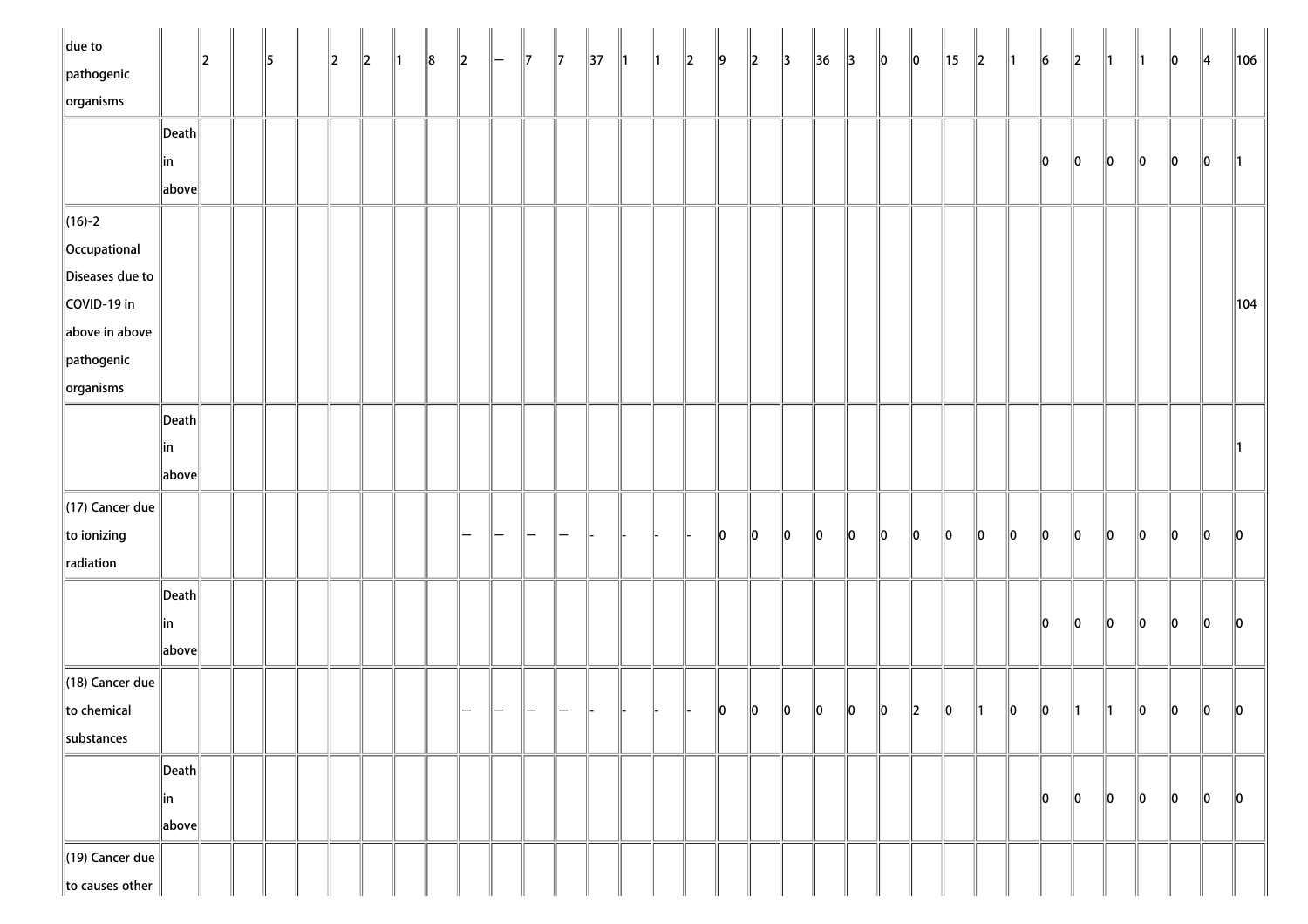| $\parallel$ due to         |                       | $\parallel$ 2 | 5 | 2 | $\parallel$ 2 | $\parallel$ 1 | $\ 8$ | $\ 2\ $ | $\parallel$ $-$ | $\parallel$ 7 | $\parallel$ 7 | $\parallel$ 37 | $\parallel$ 1 | $\parallel$ 1 | $\ 2\ $ | $\ 9\ $ | $\ 2\ $ | $\parallel$ 3 | $\parallel$ 36 | $\parallel$ 3 | $\ 0\ $ | $ 0\rangle$ | ∥15     | $\ 2\ $ | $\parallel$ 1 | $\ 6$ | $\parallel$ 2 | ∥1 | ∥1            | $\ 0\ $ | $\parallel$ 4 | $\ 106\ $ |
|----------------------------|-----------------------|---------------|---|---|---------------|---------------|-------|---------|-----------------|---------------|---------------|----------------|---------------|---------------|---------|---------|---------|---------------|----------------|---------------|---------|-------------|---------|---------|---------------|-------|---------------|----|---------------|---------|---------------|-----------|
| pathogenic                 |                       |               |   |   |               |               |       |         |                 |               |               |                |               |               |         |         |         |               |                |               |         |             |         |         |               |       |               |    |               |         |               |           |
| $\left\Vert$ organisms     |                       |               |   |   |               |               |       |         |                 |               |               |                |               |               |         |         |         |               |                |               |         |             |         |         |               |       |               |    |               |         |               |           |
|                            | Death                 |               |   |   |               |               |       |         |                 |               |               |                |               |               |         |         |         |               |                |               |         |             |         |         |               |       |               |    |               |         |               |           |
|                            | in                    |               |   |   |               |               |       |         |                 |               |               |                |               |               |         |         |         |               |                |               |         |             |         |         |               | 10    | 10            | 10 | $\parallel$ 0 | 10      | 10            |           |
|                            | above                 |               |   |   |               |               |       |         |                 |               |               |                |               |               |         |         |         |               |                |               |         |             |         |         |               |       |               |    |               |         |               |           |
| $\ $ (16)-2                |                       |               |   |   |               |               |       |         |                 |               |               |                |               |               |         |         |         |               |                |               |         |             |         |         |               |       |               |    |               |         |               |           |
| Occupational               |                       |               |   |   |               |               |       |         |                 |               |               |                |               |               |         |         |         |               |                |               |         |             |         |         |               |       |               |    |               |         |               |           |
| Diseases due to            |                       |               |   |   |               |               |       |         |                 |               |               |                |               |               |         |         |         |               |                |               |         |             |         |         |               |       |               |    |               |         |               |           |
| COVID-19 in                |                       |               |   |   |               |               |       |         |                 |               |               |                |               |               |         |         |         |               |                |               |         |             |         |         |               |       |               |    |               |         |               | ∥104      |
| $\parallel$ above in above |                       |               |   |   |               |               |       |         |                 |               |               |                |               |               |         |         |         |               |                |               |         |             |         |         |               |       |               |    |               |         |               |           |
| $\ $ pathogenic            |                       |               |   |   |               |               |       |         |                 |               |               |                |               |               |         |         |         |               |                |               |         |             |         |         |               |       |               |    |               |         |               |           |
| $\sqrt{\frac{1}{10}}$      |                       |               |   |   |               |               |       |         |                 |               |               |                |               |               |         |         |         |               |                |               |         |             |         |         |               |       |               |    |               |         |               |           |
|                            | $\ $ Death $\ $       |               |   |   |               |               |       |         |                 |               |               |                |               |               |         |         |         |               |                |               |         |             |         |         |               |       |               |    |               |         |               |           |
|                            | in                    |               |   |   |               |               |       |         |                 |               |               |                |               |               |         |         |         |               |                |               |         |             |         |         |               |       |               |    |               |         |               |           |
|                            | above                 |               |   |   |               |               |       |         |                 |               |               |                |               |               |         |         |         |               |                |               |         |             |         |         |               |       |               |    |               |         |               |           |
| $\ $ (17) Cancer due       |                       |               |   |   |               |               |       |         |                 |               |               |                |               |               |         |         |         |               |                |               |         |             |         |         |               |       |               |    |               |         |               |           |
| to ionizing                |                       |               |   |   |               |               |       |         |                 |               |               |                |               |               |         | $\ 0\ $ | $\ 0\ $ | 0             | $\ 0\ $        | $\ 0\ $       | $\ 0\ $ | $ 0\rangle$ | $\ 0\ $ | 10      | $\ 0\ $       | 10    | $\ 0\ $       | 10 | 10            | 10      | 10            | 10        |
| radiation                  |                       |               |   |   |               |               |       |         |                 |               |               |                |               |               |         |         |         |               |                |               |         |             |         |         |               |       |               |    |               |         |               |           |
|                            | $\vert$ Death $\vert$ |               |   |   |               |               |       |         |                 |               |               |                |               |               |         |         |         |               |                |               |         |             |         |         |               |       |               |    |               |         |               |           |
|                            | in                    |               |   |   |               |               |       |         |                 |               |               |                |               |               |         |         |         |               |                |               |         |             |         |         |               | 10    | 10            | 10 | 10            | 10      | $\ 0\ $       | 10        |
|                            | $\ $ above $\ $       |               |   |   |               |               |       |         |                 |               |               |                |               |               |         |         |         |               |                |               |         |             |         |         |               |       |               |    |               |         |               |           |
| $\ $ (18) Cancer due       |                       |               |   |   |               |               |       |         |                 |               |               |                |               |               |         |         |         |               |                |               |         |             |         |         |               |       |               |    |               |         |               |           |
| to chemical                |                       |               |   |   |               |               |       |         |                 |               |               |                |               |               |         | 10      | $\ 0\ $ | $ 0\rangle$   | $\ 0\ $        | $ 0\rangle$   | $\ 0\ $ | $\ 2\ $     | 10      | 11      | 10            | 10    |               |    | 10            | 10      | $\ 0\ $       | 10        |
| $\parallel$ substances     |                       |               |   |   |               |               |       |         |                 |               |               |                |               |               |         |         |         |               |                |               |         |             |         |         |               |       |               |    |               |         |               |           |
|                            | $\vert$ Death $\vert$ |               |   |   |               |               |       |         |                 |               |               |                |               |               |         |         |         |               |                |               |         |             |         |         |               |       |               |    |               |         |               |           |
|                            | in                    |               |   |   |               |               |       |         |                 |               |               |                |               |               |         |         |         |               |                |               |         |             |         |         |               | 10    | 10            | 10 | 10            | 10      | 10            | $\ 0\ $   |
|                            | above                 |               |   |   |               |               |       |         |                 |               |               |                |               |               |         |         |         |               |                |               |         |             |         |         |               |       |               |    |               |         |               |           |
| (19) Cancer due            |                       |               |   |   |               |               |       |         |                 |               |               |                |               |               |         |         |         |               |                |               |         |             |         |         |               |       |               |    |               |         |               |           |
| to causes other            |                       |               |   |   |               |               |       |         |                 |               |               |                |               |               |         |         |         |               |                |               |         |             |         |         |               |       |               |    |               |         |               |           |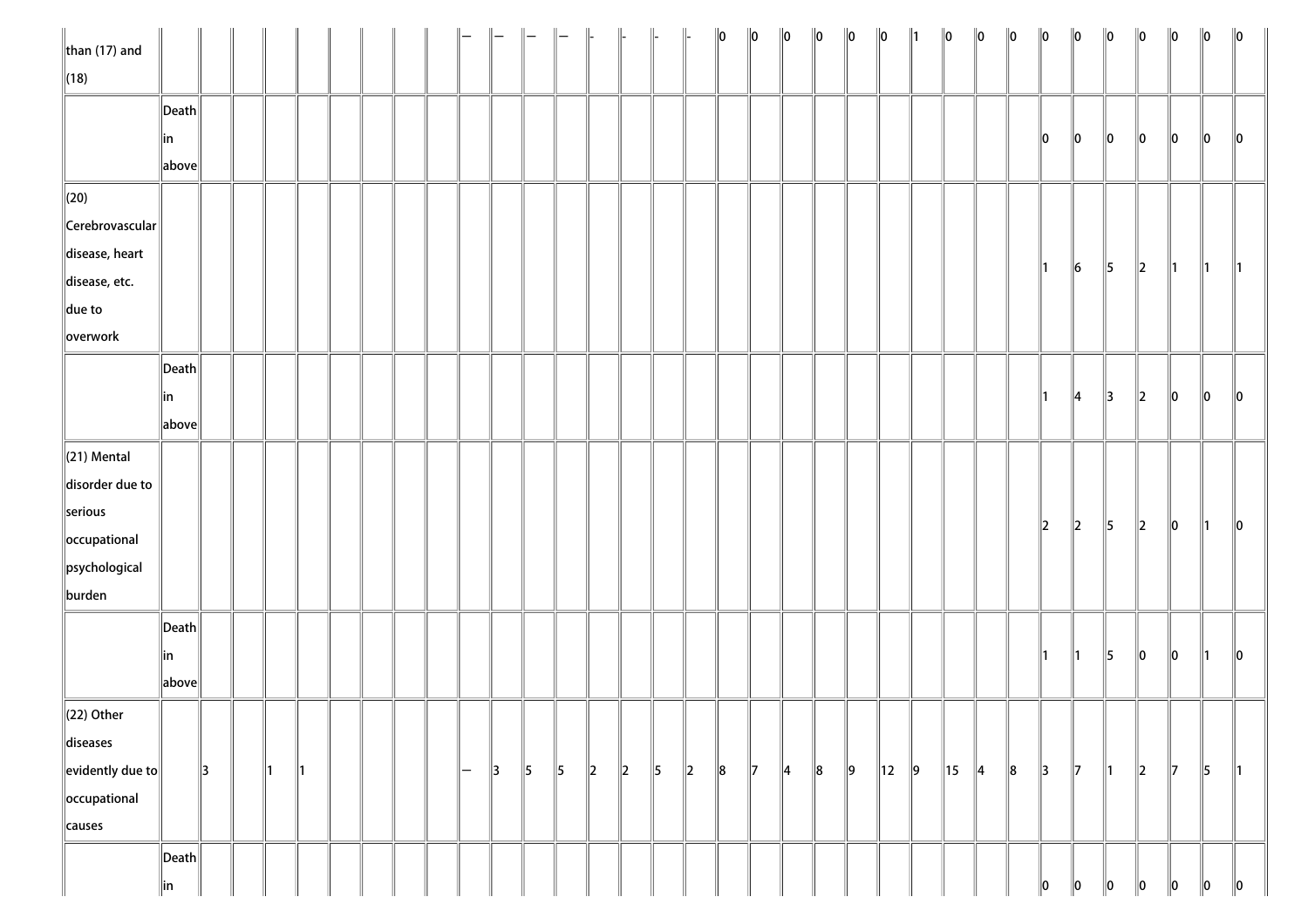| than $(17)$ and            |                       |    |    |    |  |  |               |               |           |               | $\parallel$ |         |           |         | $\ 0\ $ | $\ 0\ $       | $\ 0\ $       | $\ 0\ $ | $\ 0\ $   | $\ 0\ $        |         | $\ 0\ $        | $\ 0\ $       | $\ 0\ $ | $\ 0\ $       | $\ 0\ $       | $\ 0\ $       | $\ 0\ $ | $\ 0\ $       | $\ 0\ $       | $\ 0\ $       |
|----------------------------|-----------------------|----|----|----|--|--|---------------|---------------|-----------|---------------|-------------|---------|-----------|---------|---------|---------------|---------------|---------|-----------|----------------|---------|----------------|---------------|---------|---------------|---------------|---------------|---------|---------------|---------------|---------------|
| $\ $ (18)                  |                       |    |    |    |  |  |               |               |           |               |             |         |           |         |         |               |               |         |           |                |         |                |               |         |               |               |               |         |               |               |               |
|                            | $\ $ Death $\ $       |    |    |    |  |  |               |               |           |               |             |         |           |         |         |               |               |         |           |                |         |                |               |         |               |               |               |         |               |               |               |
|                            | ∥in                   |    |    |    |  |  |               |               |           |               |             |         |           |         |         |               |               |         |           |                |         |                |               |         | 10            | $\ 0\ $       | $\ 0\ $       | 10      | 10            | 10            | $\parallel$ 0 |
|                            | above                 |    |    |    |  |  |               |               |           |               |             |         |           |         |         |               |               |         |           |                |         |                |               |         |               |               |               |         |               |               |               |
| $\ $ (20)                  |                       |    |    |    |  |  |               |               |           |               |             |         |           |         |         |               |               |         |           |                |         |                |               |         |               |               |               |         |               |               |               |
| $\ $ Cerebrovascular $\ $  |                       |    |    |    |  |  |               |               |           |               |             |         |           |         |         |               |               |         |           |                |         |                |               |         |               |               |               |         |               |               |               |
| disease, heart             |                       |    |    |    |  |  |               |               |           |               |             |         |           |         |         |               |               |         |           |                |         |                |               |         |               |               |               |         |               |               |               |
| disease, etc.              |                       |    |    |    |  |  |               |               |           |               |             |         |           |         |         |               |               |         |           |                |         |                |               |         | $\parallel$ 1 | $\ 6\ $       | $\parallel$ 5 | $\ 2\ $ | $\parallel$ 1 | $\parallel$ 1 | $\parallel$ 1 |
| $\parallel$ due to         |                       |    |    |    |  |  |               |               |           |               |             |         |           |         |         |               |               |         |           |                |         |                |               |         |               |               |               |         |               |               |               |
| overwork                   |                       |    |    |    |  |  |               |               |           |               |             |         |           |         |         |               |               |         |           |                |         |                |               |         |               |               |               |         |               |               |               |
|                            | $\vert$ Death $\vert$ |    |    |    |  |  |               |               |           |               |             |         |           |         |         |               |               |         |           |                |         |                |               |         |               |               |               |         |               |               |               |
|                            | in                    |    |    |    |  |  |               |               |           |               |             |         |           |         |         |               |               |         |           |                |         |                |               |         | $\parallel$ 1 | $\parallel$ 4 | $\parallel$ 3 | $\ 2\ $ | 10            | 10            | $\parallel$ 0 |
|                            | above                 |    |    |    |  |  |               |               |           |               |             |         |           |         |         |               |               |         |           |                |         |                |               |         |               |               |               |         |               |               |               |
| $\ $ (21) Mental           |                       |    |    |    |  |  |               |               |           |               |             |         |           |         |         |               |               |         |           |                |         |                |               |         |               |               |               |         |               |               |               |
| disorder due to            |                       |    |    |    |  |  |               |               |           |               |             |         |           |         |         |               |               |         |           |                |         |                |               |         |               |               |               |         |               |               |               |
| serious                    |                       |    |    |    |  |  |               |               |           |               |             |         |           |         |         |               |               |         |           |                |         |                |               |         |               |               |               |         |               |               |               |
| occupational               |                       |    |    |    |  |  |               |               |           |               |             |         |           |         |         |               |               |         |           |                |         |                |               |         | $\ 2\ $       | $\ 2\ $       | $\parallel$ 5 | $\ 2\ $ | $\ 0\ $       | 11            | $\ 0\ $       |
| psychological              |                       |    |    |    |  |  |               |               |           |               |             |         |           |         |         |               |               |         |           |                |         |                |               |         |               |               |               |         |               |               |               |
| burden                     |                       |    |    |    |  |  |               |               |           |               |             |         |           |         |         |               |               |         |           |                |         |                |               |         |               |               |               |         |               |               |               |
|                            | $\ $ Death $\ $       |    |    |    |  |  |               |               |           |               |             |         |           |         |         |               |               |         |           |                |         |                |               |         |               |               |               |         |               |               |               |
|                            | in                    |    |    |    |  |  |               |               |           |               |             |         |           |         |         |               |               |         |           |                |         |                |               |         | $\parallel$ 1 | $\parallel$ 1 | $\parallel$ 5 | $\ 0\ $ | $\ 0\ $       | $\parallel$ 1 | $\ 0\ $       |
|                            | above                 |    |    |    |  |  |               |               |           |               |             |         |           |         |         |               |               |         |           |                |         |                |               |         |               |               |               |         |               |               |               |
| $\ $ (22) Other            |                       |    |    |    |  |  |               |               |           |               |             |         |           |         |         |               |               |         |           |                |         |                |               |         |               |               |               |         |               |               |               |
| diseases                   |                       |    |    |    |  |  |               |               |           |               |             |         |           |         |         |               |               |         |           |                |         |                |               |         |               |               |               |         |               |               |               |
| $\ $ evidently due to $\ $ |                       | 13 | 11 | ∥1 |  |  | $\overline{}$ | $\parallel$ 3 | $\vert$ 5 | $\parallel$ 5 | $\vert$ 2   | $\ 2\ $ | $\vert$ 5 | $\ 2\ $ | $\ 8$   | $\parallel$ 7 | $\parallel$ 4 | $\ 8$   | $\vert$ 9 | $\parallel$ 12 | $\ 9\ $ | $\parallel$ 15 | $\parallel$ 4 | $\ 8$   | $\parallel$ 3 | $\parallel$ 7 | $\parallel$ 1 | $\ 2\ $ | $\parallel$ 7 | 5             | ∥1            |
| occupational               |                       |    |    |    |  |  |               |               |           |               |             |         |           |         |         |               |               |         |           |                |         |                |               |         |               |               |               |         |               |               |               |
| causes                     |                       |    |    |    |  |  |               |               |           |               |             |         |           |         |         |               |               |         |           |                |         |                |               |         |               |               |               |         |               |               |               |
|                            | $\ $ Death $\ $       |    |    |    |  |  |               |               |           |               |             |         |           |         |         |               |               |         |           |                |         |                |               |         |               |               |               |         |               |               |               |
|                            | in                    |    |    |    |  |  |               |               |           |               |             |         |           |         |         |               |               |         |           |                |         |                |               |         | 10            | 10            | 10            | 10      | 10            | 10            | $\ 0\ $       |